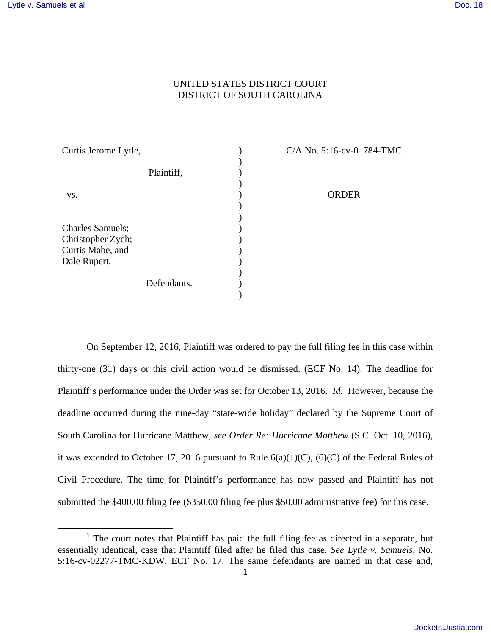## UNITED STATES DISTRICT COURT DISTRICT OF SOUTH CAROLINA

| Curtis Jerome Lytle,                         |             |  |
|----------------------------------------------|-------------|--|
|                                              | Plaintiff,  |  |
| VS.                                          |             |  |
|                                              |             |  |
| <b>Charles Samuels;</b><br>Christopher Zych; |             |  |
| Curtis Mabe, and<br>Dale Rupert,             |             |  |
|                                              |             |  |
|                                              | Defendants. |  |

C/A No. 5:16-cv-01784-TMC

ORDER

On September 12, 2016, Plaintiff was ordered to pay the full filing fee in this case within thirty-one (31) days or this civil action would be dismissed. (ECF No. 14). The deadline for Plaintiff's performance under the Order was set for October 13, 2016. *Id.* However, because the deadline occurred during the nine-day "state-wide holiday" declared by the Supreme Court of South Carolina for Hurricane Matthew, *see Order Re: Hurricane Matthew* (S.C. Oct. 10, 2016), it was extended to October 17, 2016 pursuant to Rule  $6(a)(1)(C)$ ,  $(6)(C)$  of the Federal Rules of Civil Procedure. The time for Plaintiff's performance has now passed and Plaintiff has not submitted the  $$400.00$  filing fee ( $$350.00$  filing fee plus  $$50.00$  administrative fee) for this case.<sup>1</sup>

<sup>&</sup>lt;sup>1</sup> The court notes that Plaintiff has paid the full filing fee as directed in a separate, but essentially identical, case that Plaintiff filed after he filed this case. *See Lytle v. Samuels*, No. 5:16-cv-02277-TMC-KDW, ECF No. 17. The same defendants are named in that case and,